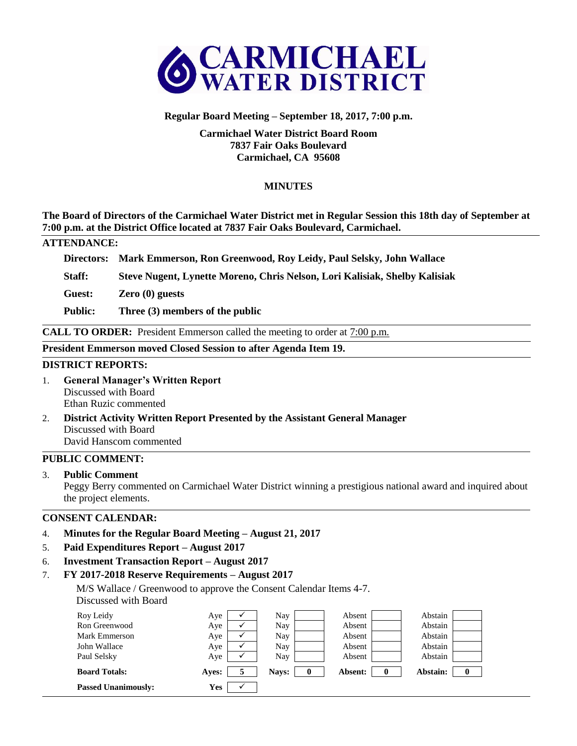

## **Regular Board Meeting – September 18, 2017, 7:00 p.m.**

## **Carmichael Water District Board Room 7837 Fair Oaks Boulevard Carmichael, CA 95608**

# **MINUTES**

**The Board of Directors of the Carmichael Water District met in Regular Session this 18th day of September at 7:00 p.m. at the District Office located at 7837 Fair Oaks Boulevard, Carmichael.** 

#### **ATTENDANCE:**

**Directors: Mark Emmerson, Ron Greenwood, Roy Leidy, Paul Selsky, John Wallace**

**Staff: Steve Nugent, Lynette Moreno, Chris Nelson, Lori Kalisiak, Shelby Kalisiak**

**Guest: Zero (0) guests**

**Public: Three (3) members of the public**

**CALL TO ORDER:** President Emmerson called the meeting to order at 7:00 p.m.

#### **President Emmerson moved Closed Session to after Agenda Item 19.**

#### **DISTRICT REPORTS:**

- 1. **General Manager's Written Report** Discussed with Board Ethan Ruzic commented
- 2. **District Activity Written Report Presented by the Assistant General Manager** Discussed with Board David Hanscom commented

## **PUBLIC COMMENT:**

3. **Public Comment**

Peggy Berry commented on Carmichael Water District winning a prestigious national award and inquired about the project elements.

## **CONSENT CALENDAR:**

- 4. **Minutes for the Regular Board Meeting – August 21, 2017**
- 5. **Paid Expenditures Report – August 2017**
- 6. **Investment Transaction Report – August 2017**
- 7. **FY 2017-2018 Reserve Requirements – August 2017**

M/S Wallace / Greenwood to approve the Consent Calendar Items 4-7. Discussed with Board

| Roy Leidy                  | Aye        | Nay   |          | Absent  |          | Abstain  |          |
|----------------------------|------------|-------|----------|---------|----------|----------|----------|
| Ron Greenwood              | Aye        | Nay   |          | Absent  |          | Abstain  |          |
| Mark Emmerson              | Aye        | Nay   |          | Absent  |          | Abstain  |          |
| John Wallace               | Aye        | Nay   |          | Absent  |          | Abstain  |          |
| Paul Selsky                | Aye        | Nay   |          | Absent  |          | Abstain  |          |
| <b>Board Totals:</b>       | Aves:      | Navs: | $\bf{0}$ | Absent: | $\bf{0}$ | Abstain: | $\bf{0}$ |
| <b>Passed Unanimously:</b> | <b>Yes</b> |       |          |         |          |          |          |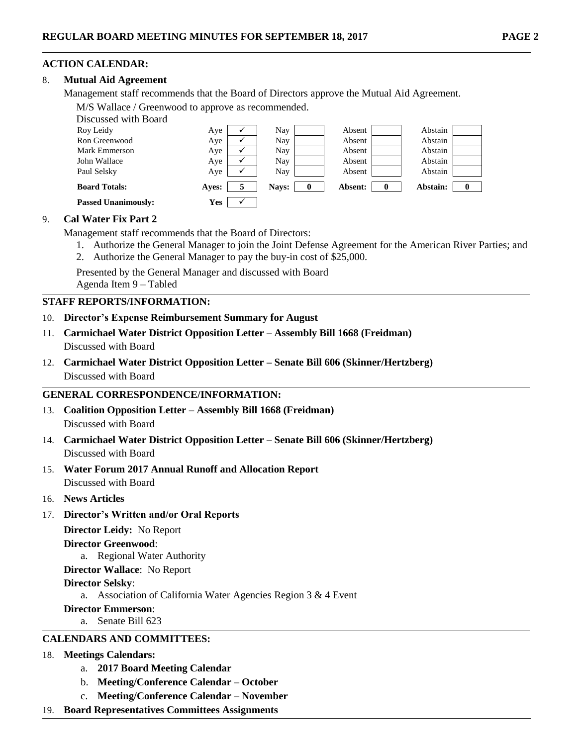# **ACTION CALENDAR:**

## 8. **Mutual Aid Agreement**

Management staff recommends that the Board of Directors approve the Mutual Aid Agreement.

M/S Wallace / Greenwood to approve as recommended.

| Discussed with Board       |            |   |       |   |         |   |          |  |
|----------------------------|------------|---|-------|---|---------|---|----------|--|
| Roy Leidy                  | Aye        |   | Nay   |   | Absent  |   | Abstain  |  |
| Ron Greenwood              | Aye        |   | Nay   |   | Absent  |   | Abstain  |  |
| Mark Emmerson              | Aye        |   | Nay   |   | Absent  |   | Abstain  |  |
| John Wallace               | Aye        |   | Nay   |   | Absent  |   | Abstain  |  |
| Paul Selsky                | Aye        |   | Nay   |   | Absent  |   | Abstain  |  |
| <b>Board Totals:</b>       | Aves:      | 5 | Navs: | 0 | Absent: | 0 | Abstain: |  |
| <b>Passed Unanimously:</b> | <b>Yes</b> |   |       |   |         |   |          |  |

## 9. **Cal Water Fix Part 2**

Management staff recommends that the Board of Directors:

- 1. Authorize the General Manager to join the Joint Defense Agreement for the American River Parties; and
- 2. Authorize the General Manager to pay the buy-in cost of \$25,000.

Presented by the General Manager and discussed with Board

Agenda Item 9 – Tabled

### **STAFF REPORTS/INFORMATION:**

- 10. **Director's Expense Reimbursement Summary for August**
- 11. **Carmichael Water District Opposition Letter – Assembly Bill 1668 (Freidman)** Discussed with Board
- 12. **Carmichael Water District Opposition Letter – Senate Bill 606 (Skinner/Hertzberg)** Discussed with Board

## **GENERAL CORRESPONDENCE/INFORMATION:**

- 13. **Coalition Opposition Letter – Assembly Bill 1668 (Freidman)** Discussed with Board
- 14. **Carmichael Water District Opposition Letter – Senate Bill 606 (Skinner/Hertzberg)** Discussed with Board
- 15. **Water Forum 2017 Annual Runoff and Allocation Report** Discussed with Board
- 16. **News Articles**
- 17. **Director's Written and/or Oral Reports**

**Director Leidy:** No Report

#### **Director Greenwood**:

a. Regional Water Authority

**Director Wallace**: No Report

## **Director Selsky**:

a. Association of California Water Agencies Region 3 & 4 Event

#### **Director Emmerson**:

a. Senate Bill 623

## **CALENDARS AND COMMITTEES:**

## 18. **Meetings Calendars:**

- a. **2017 Board Meeting Calendar**
- b. **Meeting/Conference Calendar – October**
- c. **Meeting/Conference Calendar – November**
- 19. **Board Representatives Committees Assignments**